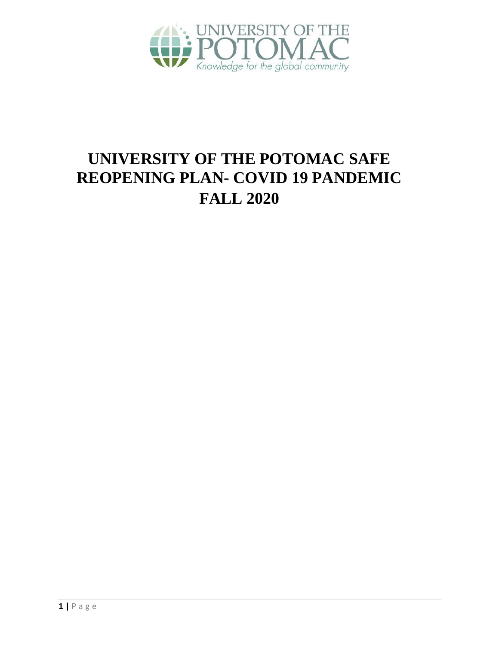

# **UNIVERSITY OF THE POTOMAC SAFE REOPENING PLAN- COVID 19 PANDEMIC FALL 2020**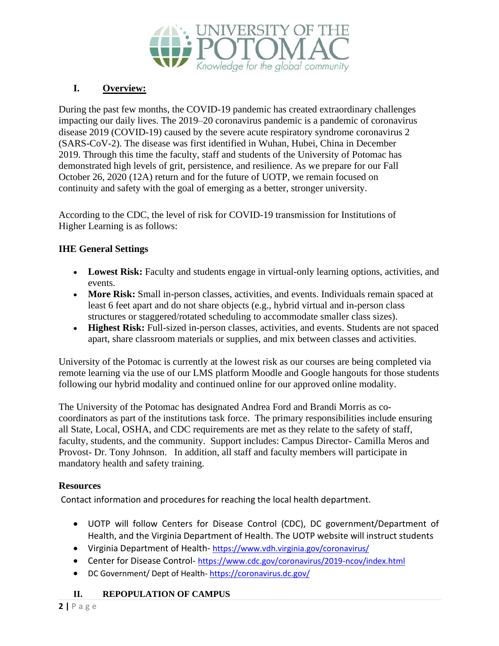

# **I. Overview:**

During the past few months, the COVID-19 pandemic has created extraordinary challenges impacting our daily lives. The 2019–20 coronavirus pandemic is a pandemic of coronavirus disease 2019 (COVID-19) caused by the severe acute respiratory syndrome coronavirus 2 (SARS-CoV-2). The disease was first identified in Wuhan, Hubei, China in December 2019. Through this time the faculty, staff and students of the University of Potomac has demonstrated high levels of grit, persistence, and resilience. As we prepare for our Fall October 26, 2020 (12A) return and for the future of UOTP, we remain focused on continuity and safety with the goal of emerging as a better, stronger university.

According to the CDC, the level of risk for COVID-19 transmission for Institutions of Higher Learning is as follows:

#### **IHE General Settings**

- Lowest Risk: Faculty and students engage in virtual-only learning options, activities, and events.
- More Risk: Small in-person classes, activities, and events. Individuals remain spaced at least 6 feet apart and do not share objects (e.g., hybrid virtual and in-person class structures or staggered/rotated scheduling to accommodate smaller class sizes).
- **Highest Risk:** Full-sized in-person classes, activities, and events. Students are not spaced apart, share classroom materials or supplies, and mix between classes and activities.

University of the Potomac is currently at the lowest risk as our courses are being completed via remote learning via the use of our LMS platform Moodle and Google hangouts for those students following our hybrid modality and continued online for our approved online modality.

The University of the Potomac has designated Andrea Ford and Brandi Morris as cocoordinators as part of the institutions task force. The primary responsibilities include ensuring all State, Local, OSHA, and CDC requirements are met as they relate to the safety of staff, faculty, students, and the community. Support includes: Campus Director- Camilla Meros and Provost- Dr. Tony Johnson. In addition, all staff and faculty members will participate in mandatory health and safety training.

#### **Resources**

- **II. II. REPOPULATION OF CAMPUS** CONTINGTON CONTROVIDENTIALLY and the Virginia Department of Health. The UOTP website will in<br>
**Virginia Department of Health**-https://www.vdh.virginia.gov/coronavirus/<br>
Center for D • UOTP will follow Centers for Disease Control (CDC), DC government/Department of Health, and the Virginia Department of Health. The UOTP website will instruct students
	- Virginia Department of Health-https://www.vdh.virginia.gov/coronavirus/
	- Center for Disease Control- https://www.cdc.gov/coronavirus/2019-ncov/index.html
	- DC Government/ Dept of Health- https://coronavirus.dc.gov/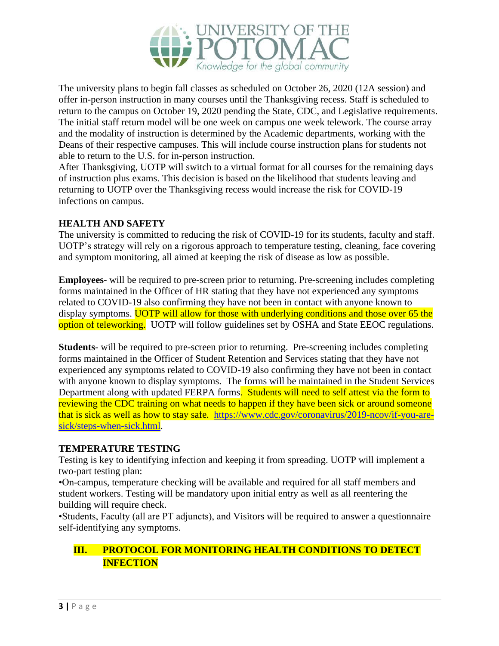

The university plans to begin fall classes as scheduled on October 26, 2020 (12A session) and offer in-person instruction in many courses until the Thanksgiving recess. Staff is scheduled to return to the campus on October 19, 2020 pending the State, CDC, and Legislative requirements. The initial staff return model will be one week on campus one week telework. The course array and the modality of instruction is determined by the Academic departments, working with the Deans of their respective campuses. This will include course instruction plans for students not able to return to the U.S. for in-person instruction.

After Thanksgiving, UOTP will switch to a virtual format for all courses for the remaining days of instruction plus exams. This decision is based on the likelihood that students leaving and returning to UOTP over the Thanksgiving recess would increase the risk for COVID-19 infections on campus.

#### **HEALTH AND SAFETY**

The university is committed to reducing the risk of COVID-19 for its students, faculty and staff. UOTP's strategy will rely on a rigorous approach to temperature testing, cleaning, face covering and symptom monitoring, all aimed at keeping the risk of disease as low as possible.

**Employees**- will be required to pre-screen prior to returning. Pre-screening includes completing forms maintained in the Officer of HR stating that they have not experienced any symptoms related to COVID-19 also confirming they have not been in contact with anyone known to display symptoms. **UOTP** will allow for those with underlying conditions and those over 65 the option of teleworking. UOTP will follow guidelines set by OSHA and State EEOC regulations.

**Students**- will be required to pre-screen prior to returning. Pre-screening includes completing forms maintained in the Officer of Student Retention and Services stating that they have not experienced any symptoms related to COVID-19 also confirming they have not been in contact with anyone known to display symptoms. The forms will be maintained in the Student Services Department along with updated FERPA forms. Students will need to self attest via the form to reviewing the CDC training on what needs to happen if they have been sick or around someone that is sick as well as how to stay safe. [https://www.cdc.gov/coronavirus/2019-ncov/if-you-are](https://www.cdc.gov/coronavirus/2019-ncov/if-you-are-sick/steps-when-sick.html)[sick/steps-when-sick.html.](https://www.cdc.gov/coronavirus/2019-ncov/if-you-are-sick/steps-when-sick.html)

#### **TEMPERATURE TESTING**

Testing is key to identifying infection and keeping it from spreading. UOTP will implement a two-part testing plan:

•On-campus, temperature checking will be available and required for all staff members and student workers. Testing will be mandatory upon initial entry as well as all reentering the building will require check.

•Students, Faculty (all are PT adjuncts), and Visitors will be required to answer a questionnaire self-identifying any symptoms.

# **III. PROTOCOL FOR MONITORING HEALTH CONDITIONS TO DETECT INFECTION**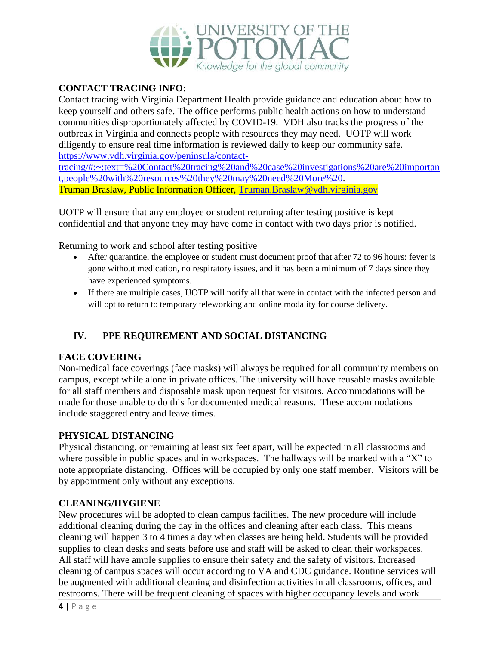

### **CONTACT TRACING INFO:**

Contact tracing with Virginia Department Health provide guidance and education about how to keep yourself and others safe. The office performs public health actions on how to understand communities disproportionately affected by COVID-19. VDH also tracks the progress of the outbreak in Virginia and connects people with resources they may need. UOTP will work diligently to ensure real time information is reviewed daily to keep our community safe. [https://www.vdh.virginia.gov/peninsula/contact-](https://www.vdh.virginia.gov/peninsula/contact-tracing/#:~:text=%20Contact%20tracing%20and%20case%20investigations%20are%20important,people%20with%20resources%20they%20may%20need%20More%20)

[tracing/#:~:text=%20Contact%20tracing%20and%20case%20investigations%20are%20importan](https://www.vdh.virginia.gov/peninsula/contact-tracing/#:~:text=%20Contact%20tracing%20and%20case%20investigations%20are%20important,people%20with%20resources%20they%20may%20need%20More%20) [t,people%20with%20resources%20they%20may%20need%20More%20.](https://www.vdh.virginia.gov/peninsula/contact-tracing/#:~:text=%20Contact%20tracing%20and%20case%20investigations%20are%20important,people%20with%20resources%20they%20may%20need%20More%20) Truman Braslaw, Public Information Officer, [Truman.Braslaw@vdh.virginia.gov](mailto:Truman.Braslaw@vdh.virginia.gov)

UOTP will ensure that any employee or student returning after testing positive is kept confidential and that anyone they may have come in contact with two days prior is notified.

Returning to work and school after testing positive

- After quarantine, the employee or student must document proof that after 72 to 96 hours: fever is gone without medication, no respiratory issues, and it has been a minimum of 7 days since they have experienced symptoms.
- If there are multiple cases, UOTP will notify all that were in contact with the infected person and will opt to return to temporary teleworking and online modality for course delivery.

# **IV. PPE REQUIREMENT AND SOCIAL DISTANCING**

#### **FACE COVERING**

Non-medical face coverings (face masks) will always be required for all community members on campus, except while alone in private offices. The university will have reusable masks available for all staff members and disposable mask upon request for visitors. Accommodations will be made for those unable to do this for documented medical reasons. These accommodations include staggered entry and leave times.

#### **PHYSICAL DISTANCING**

Physical distancing, or remaining at least six feet apart, will be expected in all classrooms and where possible in public spaces and in workspaces. The hallways will be marked with a "X" to note appropriate distancing. Offices will be occupied by only one staff member. Visitors will be by appointment only without any exceptions.

#### **CLEANING/HYGIENE**

New procedures will be adopted to clean campus facilities. The new procedure will include additional cleaning during the day in the offices and cleaning after each class. This means cleaning will happen 3 to 4 times a day when classes are being held. Students will be provided supplies to clean desks and seats before use and staff will be asked to clean their workspaces. All staff will have ample supplies to ensure their safety and the safety of visitors. Increased cleaning of campus spaces will occur according to VA and CDC guidance. Routine services will be augmented with additional cleaning and disinfection activities in all classrooms, offices, and restrooms. There will be frequent cleaning of spaces with higher occupancy levels and work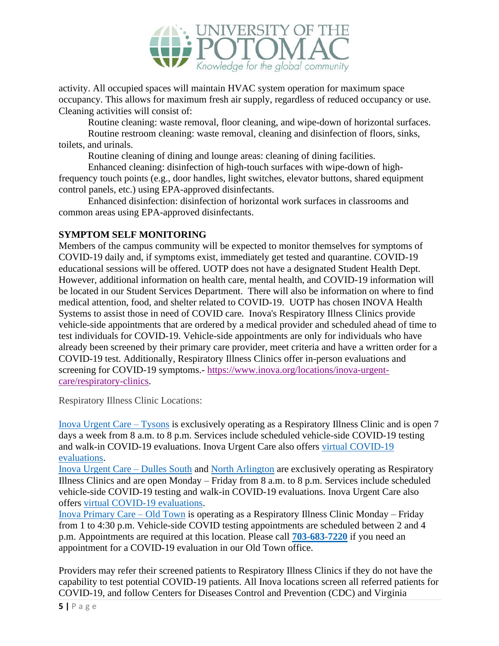

activity. All occupied spaces will maintain HVAC system operation for maximum space occupancy. This allows for maximum fresh air supply, regardless of reduced occupancy or use. Cleaning activities will consist of:

Routine cleaning: waste removal, floor cleaning, and wipe-down of horizontal surfaces.

Routine restroom cleaning: waste removal, cleaning and disinfection of floors, sinks, toilets, and urinals.

Routine cleaning of dining and lounge areas: cleaning of dining facilities.

Enhanced cleaning: disinfection of high-touch surfaces with wipe-down of highfrequency touch points (e.g., door handles, light switches, elevator buttons, shared equipment control panels, etc.) using EPA-approved disinfectants.

Enhanced disinfection: disinfection of horizontal work surfaces in classrooms and common areas using EPA-approved disinfectants.

#### **SYMPTOM SELF MONITORING**

Members of the campus community will be expected to monitor themselves for symptoms of COVID-19 daily and, if symptoms exist, immediately get tested and quarantine. COVID-19 educational sessions will be offered. UOTP does not have a designated Student Health Dept. However, additional information on health care, mental health, and COVID-19 information will be located in our Student Services Department. There will also be information on where to find medical attention, food, and shelter related to COVID-19. UOTP has chosen INOVA Health Systems to assist those in need of COVID care. Inova's Respiratory Illness Clinics provide vehicle-side appointments that are ordered by a medical provider and scheduled ahead of time to test individuals for COVID-19. Vehicle-side appointments are only for individuals who have already been screened by their primary care provider, meet criteria and have a written order for a COVID-19 test. Additionally, Respiratory Illness Clinics offer in-person evaluations and screening for COVID-19 symptoms.- [https://www.inova.org/locations/inova-urgent](https://www.inova.org/locations/inova-urgent-care/respiratory-clinics)[care/respiratory-clinics.](https://www.inova.org/locations/inova-urgent-care/respiratory-clinics)

Respiratory Illness Clinic Locations:

[Inova Urgent Care –](https://www.inova.org/locations/inova-urgent-care-tysons) Tysons is exclusively operating as a Respiratory Illness Clinic and is open 7 days a week from 8 a.m. to 8 p.m. Services include scheduled vehicle-side COVID-19 testing and walk-in COVID-19 evaluations. Inova Urgent Care also offers [virtual COVID-19](https://www.inova.org/our-services/inova-urgent-care/virtual-visits)  [evaluations.](https://www.inova.org/our-services/inova-urgent-care/virtual-visits)

[Inova Urgent Care –](https://www.inova.org/locations/inova-urgent-care-dulles-south) Dulles South and [North Arlington](https://www.inova.org/locations/inova-urgent-care-north-arlington) are exclusively operating as Respiratory Illness Clinics and are open Monday – Friday from 8 a.m. to 8 p.m. Services include scheduled vehicle-side COVID-19 testing and walk-in COVID-19 evaluations. Inova Urgent Care also offers [virtual COVID-19 evaluations.](https://www.inova.org/our-services/inova-urgent-care/virtual-visits)

[Inova Primary Care –](https://www.inova.org/locations/inova-primary-care-old-town) Old Town is operating as a Respiratory Illness Clinic Monday – Friday from 1 to 4:30 p.m. Vehicle-side COVID testing appointments are scheduled between 2 and 4 p.m. Appointments are required at this location. Please call **[703-683-7220](tel:703-683-7220)** if you need an appointment for a COVID-19 evaluation in our Old Town office.

Providers may refer their screened patients to Respiratory Illness Clinics if they do not have the capability to test potential COVID-19 patients. All Inova locations screen all referred patients for COVID-19, and follow Centers for Diseases Control and Prevention (CDC) and Virginia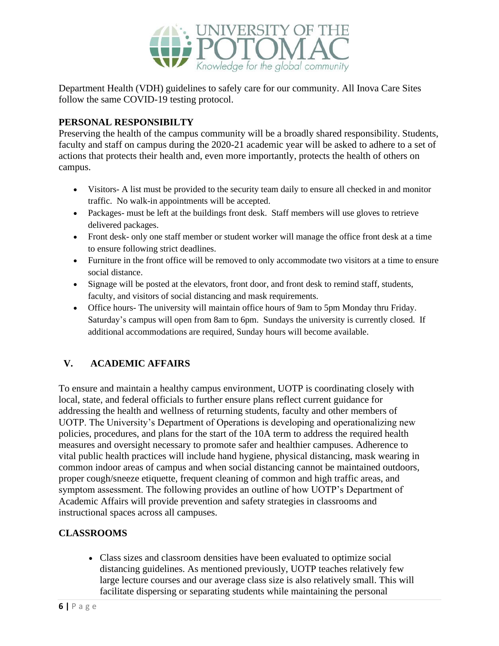

Department Health (VDH) guidelines to safely care for our community. All Inova Care Sites follow the same COVID-19 testing protocol.

### **PERSONAL RESPONSIBILTY**

Preserving the health of the campus community will be a broadly shared responsibility. Students, faculty and staff on campus during the 2020-21 academic year will be asked to adhere to a set of actions that protects their health and, even more importantly, protects the health of others on campus.

- Visitors- A list must be provided to the security team daily to ensure all checked in and monitor traffic. No walk-in appointments will be accepted.
- Packages- must be left at the buildings front desk. Staff members will use gloves to retrieve delivered packages.
- Front desk- only one staff member or student worker will manage the office front desk at a time to ensure following strict deadlines.
- Furniture in the front office will be removed to only accommodate two visitors at a time to ensure social distance.
- Signage will be posted at the elevators, front door, and front desk to remind staff, students, faculty, and visitors of social distancing and mask requirements.
- Office hours- The university will maintain office hours of 9am to 5pm Monday thru Friday. Saturday's campus will open from 8am to 6pm. Sundays the university is currently closed. If additional accommodations are required, Sunday hours will become available.

# **V. ACADEMIC AFFAIRS**

To ensure and maintain a healthy campus environment, UOTP is coordinating closely with local, state, and federal officials to further ensure plans reflect current guidance for addressing the health and wellness of returning students, faculty and other members of UOTP. The University's Department of Operations is developing and operationalizing new policies, procedures, and plans for the start of the 10A term to address the required health measures and oversight necessary to promote safer and healthier campuses. Adherence to vital public health practices will include hand hygiene, physical distancing, mask wearing in common indoor areas of campus and when social distancing cannot be maintained outdoors, proper cough/sneeze etiquette, frequent cleaning of common and high traffic areas, and symptom assessment. The following provides an outline of how UOTP's Department of Academic Affairs will provide prevention and safety strategies in classrooms and instructional spaces across all campuses.

# **CLASSROOMS**

• Class sizes and classroom densities have been evaluated to optimize social distancing guidelines. As mentioned previously, UOTP teaches relatively few large lecture courses and our average class size is also relatively small. This will facilitate dispersing or separating students while maintaining the personal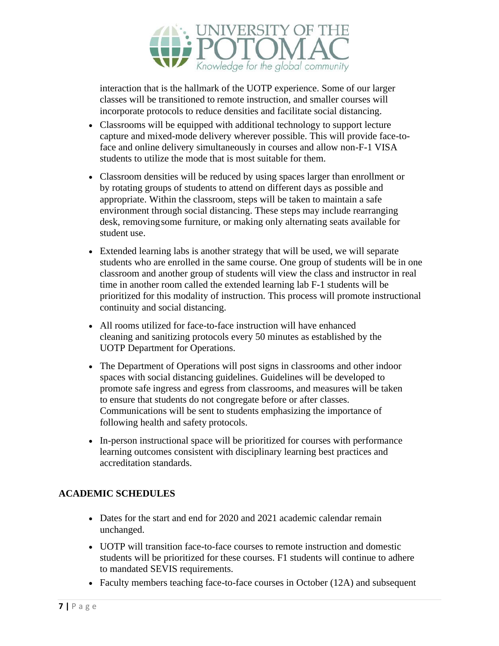

interaction that is the hallmark of the UOTP experience. Some of our larger classes will be transitioned to remote instruction, and smaller courses will incorporate protocols to reduce densities and facilitate social distancing.

- Classrooms will be equipped with additional technology to support lecture capture and mixed-mode delivery wherever possible. This will provide face-toface and online delivery simultaneously in courses and allow non-F-1 VISA students to utilize the mode that is most suitable for them.
- Classroom densities will be reduced by using spaces larger than enrollment or by rotating groups of students to attend on different days as possible and appropriate. Within the classroom, steps will be taken to maintain a safe environment through social distancing. These steps may include rearranging desk, removingsome furniture, or making only alternating seats available for student use.
- Extended learning labs is another strategy that will be used, we will separate students who are enrolled in the same course. One group of students will be in one classroom and another group of students will view the class and instructor in real time in another room called the extended learning lab F-1 students will be prioritized for this modality of instruction. This process will promote instructional continuity and social distancing.
- All rooms utilized for face-to-face instruction will have enhanced cleaning and sanitizing protocols every 50 minutes as established by the UOTP Department for Operations.
- The Department of Operations will post signs in classrooms and other indoor spaces with social distancing guidelines. Guidelines will be developed to promote safe ingress and egress from classrooms, and measures will be taken to ensure that students do not congregate before or after classes. Communications will be sent to students emphasizing the importance of following health and safety protocols.
- In-person instructional space will be prioritized for courses with performance learning outcomes consistent with disciplinary learning best practices and accreditation standards.

# **ACADEMIC SCHEDULES**

- Dates for the start and end for 2020 and 2021 academic calendar remain unchanged.
- UOTP will transition face-to-face courses to remote instruction and domestic students will be prioritized for these courses. F1 students will continue to adhere to mandated SEVIS requirements.
- Faculty members teaching face-to-face courses in October (12A) and subsequent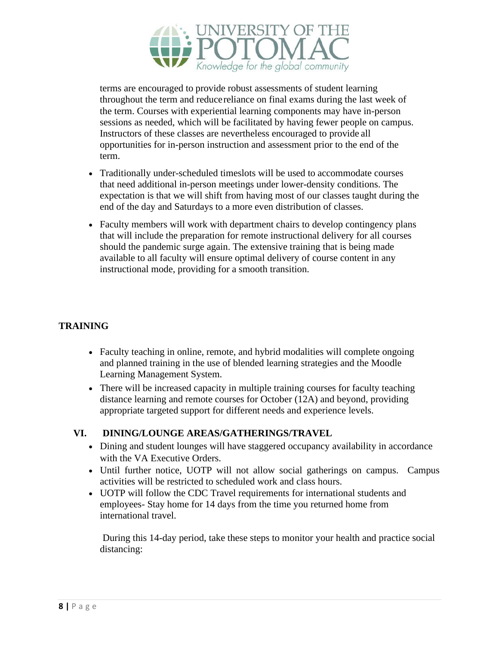

terms are encouraged to provide robust assessments of student learning throughout the term and reducereliance on final exams during the last week of the term. Courses with experiential learning components may have in-person sessions as needed, which will be facilitated by having fewer people on campus. Instructors of these classes are nevertheless encouraged to provide all opportunities for in-person instruction and assessment prior to the end of the term.

- Traditionally under-scheduled timeslots will be used to accommodate courses that need additional in-person meetings under lower-density conditions. The expectation is that we will shift from having most of our classes taught during the end of the day and Saturdays to a more even distribution of classes.
- Faculty members will work with department chairs to develop contingency plans that will include the preparation for remote instructional delivery for all courses should the pandemic surge again. The extensive training that is being made available to all faculty will ensure optimal delivery of course content in any instructional mode, providing for a smooth transition.

# **TRAINING**

- Faculty teaching in online, remote, and hybrid modalities will complete ongoing and planned training in the use of blended learning strategies and the Moodle Learning Management System.
- There will be increased capacity in multiple training courses for faculty teaching distance learning and remote courses for October (12A) and beyond, providing appropriate targeted support for different needs and experience levels.

#### **VI. DINING/LOUNGE AREAS/GATHERINGS/TRAVEL**

- Dining and student lounges will have staggered occupancy availability in accordance with the VA Executive Orders.
- Until further notice, UOTP will not allow social gatherings on campus. Campus activities will be restricted to scheduled work and class hours.
- UOTP will follow the CDC Travel requirements for international students and employees- Stay home for 14 days from the time you returned home from international travel.

During this 14-day period, take these steps to monitor your health and practice social distancing: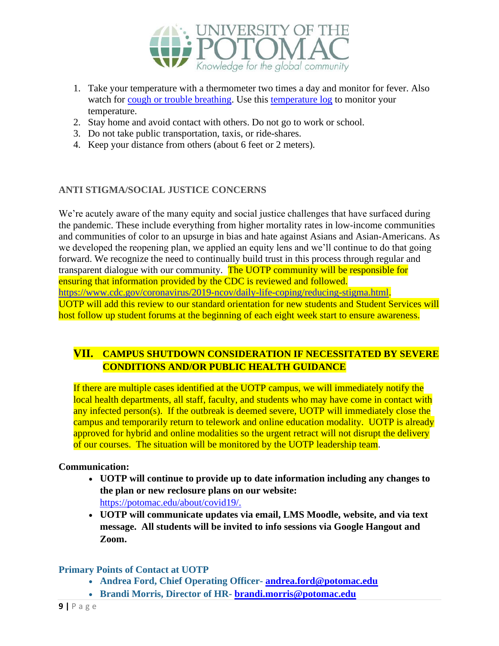

- 1. Take your temperature with a thermometer two times a day and monitor for fever. Also watch for [cough or trouble breathing.](https://www.cdc.gov/coronavirus/2019-ncov/symptoms-testing/symptoms.html) Use this [temperature log](https://www.cdc.gov/coronavirus/2019-ncov/travelers/communication-resources.html#templog) to monitor your temperature.
- 2. Stay home and avoid contact with others. Do not go to work or school.
- 3. Do not take public transportation, taxis, or ride-shares.
- 4. Keep your distance from others (about 6 feet or 2 meters).

#### **ANTI STIGMA/SOCIAL JUSTICE CONCERNS**

We're acutely aware of the many equity and social justice challenges that have surfaced during the pandemic. These include everything from higher mortality rates in low-income communities and communities of color to an upsurge in bias and hate against Asians and Asian-Americans. As we developed the reopening plan, we applied an equity lens and we'll continue to do that going forward. We recognize the need to continually build trust in this process through regular and transparent dialogue with our community. The UOTP community will be responsible for ensuring that information provided by the CDC is reviewed and followed. [https://www.cdc.gov/coronavirus/2019-ncov/daily-life-coping/reducing-stigma.html.](https://www.cdc.gov/coronavirus/2019-ncov/daily-life-coping/reducing-stigma.html) UOTP will add this review to our standard orientation for new students and Student Services will host follow up student forums at the beginning of each eight week start to ensure awareness.

# **VII. CAMPUS SHUTDOWN CONSIDERATION IF NECESSITATED BY SEVERE CONDITIONS AND/OR PUBLIC HEALTH GUIDANCE**

If there are multiple cases identified at the UOTP campus, we will immediately notify the local health departments, all staff, faculty, and students who may have come in contact with any infected person(s). If the outbreak is deemed severe, UOTP will immediately close the campus and temporarily return to telework and online education modality. UOTP is already approved for hybrid and online modalities so the urgent retract will not disrupt the delivery of our courses. The situation will be monitored by the UOTP leadership team.

#### **Communication:**

- **UOTP will continue to provide up to date information including any changes to the plan or new reclosure plans on our website:**  [https://potomac.edu/about/covid19/.](https://potomac.edu/about/covid19/)
- **UOTP will communicate updates via email, LMS Moodle, website, and via text message. All students will be invited to info sessions via Google Hangout and Zoom.**

#### **Primary Points of Contact at UOTP**

- **Andrea Ford, Chief Operating Officer- [andrea.ford@potomac.edu](mailto:andrea.ford@potomac.edu)**
- **Brandi Morris, Director of HR- [brandi.morris@potomac.edu](mailto:brandi.morris@potomac.edu)**